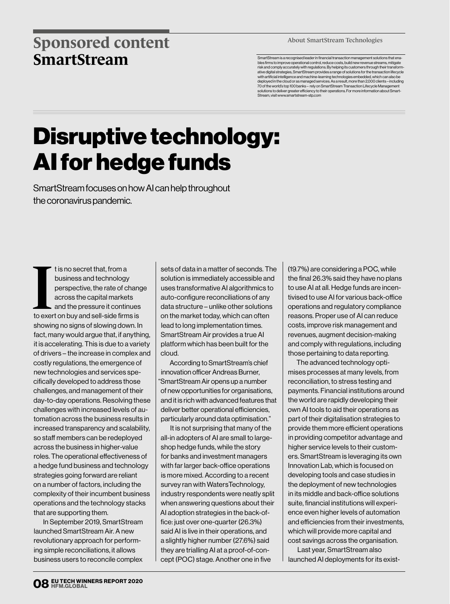## **Sponsored content SmartStream**

About SmartStream Technologies

SmartStream is a recognised leader in financial transaction management solutions that ena-bles firms to improve operational control, reduce costs, build new revenue streams, mitigate risk and comply accurately with regulations. By helping its customers through their transform-ative digital strategies, SmartStream provides a range of solutions for the transaction lifecycle with artificial intelligence and machine-learning technologies embedded, which can also be deployed in the cloud or as managed services. As a result, more than 2,000 clients – including 70 of the world's top 100 banks – rely on SmartStream Transaction Lifecycle Management solutions to deliver greater efficiency to their operations. For more information about Smart-Stream, visit www.smartstream-stp.com

## Disruptive technology: AI for hedge funds

SmartStream focuses on how AI can help throughout the coronavirus pandemic.

t is no secret that, from a<br>business and technology<br>perspective, the rate of change<br>across the capital markets<br>and the pressure it continues<br>to exert on buy and sell-side firms is t is no secret that, from a business and technology perspective, the rate of change across the capital markets and the pressure it continues showing no signs of slowing down. In fact, many would argue that, if anything, it is accelerating. This is due to a variety of drivers – the increase in complex and costly regulations, the emergence of new technologies and services specifically developed to address those challenges, and management of their day-to-day operations. Resolving these challenges with increased levels of automation across the business results in increased transparency and scalability, so staff members can be redeployed across the business in higher-value roles. The operational effectiveness of a hedge fund business and technology strategies going forward are reliant on a number of factors, including the complexity of their incumbent business operations and the technology stacks that are supporting them.

In September 2019, SmartStream launched SmartStream Air. A new revolutionary approach for performing simple reconciliations, it allows business users to reconcile complex

sets of data in a matter of seconds. The solution is immediately accessible and uses transformative AI algorithmics to auto-configure reconciliations of any data structure – unlike other solutions on the market today, which can often lead to long implementation times. SmartStream Air provides a true AI platform which has been built for the cloud.

According to SmartStream's chief innovation officer Andreas Burner, "SmartStream Air opens up a number of new opportunities for organisations, and it is rich with advanced features that deliver better operational efficiencies, particularly around data optimisation."

It is not surprising that many of the all-in adopters of AI are small to largeshop hedge funds, while the story for banks and investment managers with far larger back-office operations is more mixed. According to a recent survey ran with WatersTechnology, industry respondents were neatly split when answering questions about their AI adoption strategies in the back-office: just over one-quarter (26.3%) said AI is live in their operations, and a slightly higher number (27.6%) said they are trialling AI at a proof-of-concept (POC) stage. Another one in five

(19.7%) are considering a POC, while the final 26.3% said they have no plans to use AI at all. Hedge funds are incentivised to use AI for various back-office operations and regulatory compliance reasons. Proper use of AI can reduce costs, improve risk management and revenues, augment decision-making and comply with regulations, including those pertaining to data reporting.

The advanced technology optimises processes at many levels, from reconciliation, to stress testing and payments. Financial institutions around the world are rapidly developing their own AI tools to aid their operations as part of their digitalisation strategies to provide them more efficient operations in providing competitor advantage and higher service levels to their customers. SmartStream is leveraging its own Innovation Lab, which is focused on developing tools and case studies in the deployment of new technologies in its middle and back-office solutions suite, financial institutions will experience even higher levels of automation and efficiencies from their investments, which will provide more capital and cost savings across the organisation.

Last year, SmartStream also launched AI deployments for its exist-